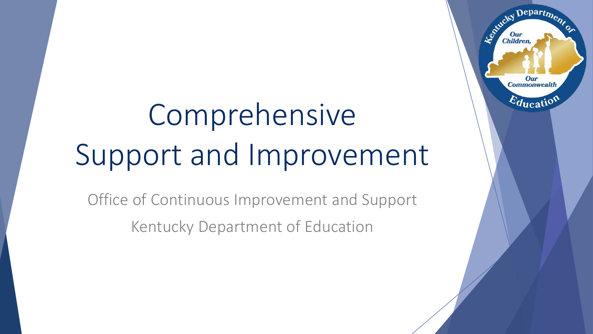# Comprehensive Support and Improvement

Office of Continuous Improvement and Support Kentucky Department of Education

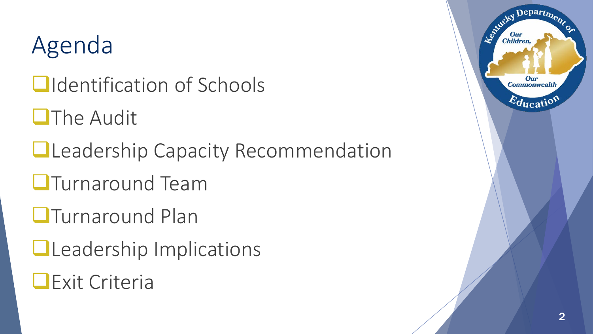### Agenda

- **Q**Identification of Schools
- **OThe Audit**
- **Leadership Capacity Recommendation**
- **OTurnaround Team**
- **OTurnaround Plan**
- **QLeadership Implications**
- **Exit Criteria**

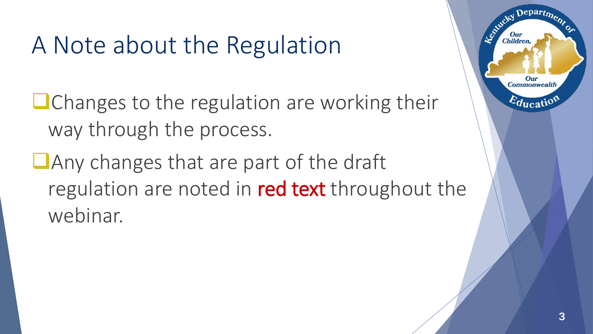### A Note about the Regulation

 $\Box$  Changes to the regulation are working their way through the process.

**Any changes that are part of the draft** regulation are noted in red text throughout the webinar.

Depart $\eta_{\bm{\nu}}$ 

Our **Commonwealth** 

 $E_{\text{ducati}}$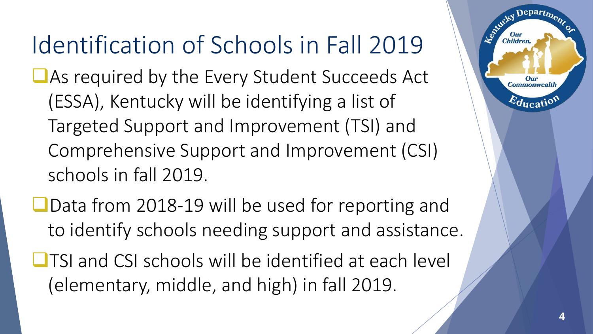## Identification of Schools in Fall 2019

- As required by the Every Student Succeeds Act (ESSA), Kentucky will be identifying a list of Targeted Support and Improvement (TSI) and Comprehensive Support and Improvement (CSI) schools in fall 2019.
- ■Data from 2018-19 will be used for reporting and to identify schools needing support and assistance.
- $\Box$  TSI and CSI schools will be identified at each level (elementary, middle, and high) in fall 2019.

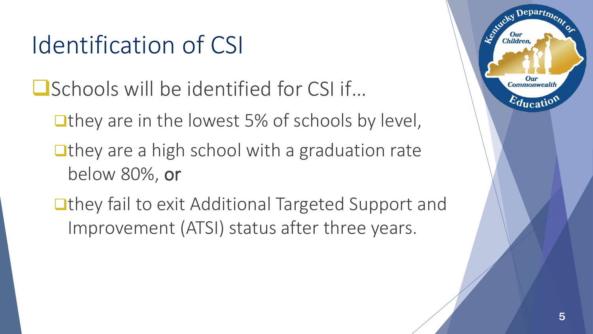## Identification of CSI

- ■Schools will be identified for CSI if...
	- They are in the lowest 5% of schools by level,
	- $\Box$  they are a high school with a graduation rate below 80%, or
	- ■they fail to exit Additional Targeted Support and Improvement (ATSI) status after three years.

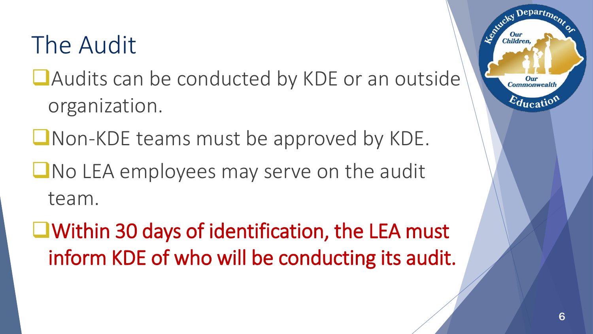## The Audit

- **Audits can be conducted by KDE or an outside** organization.
- **Non-KDE teams must be approved by KDE.**
- **No LEA employees may serve on the audit** team.
- Within 30 days of identification, the LEA must inform KDE of who will be conducting its audit.

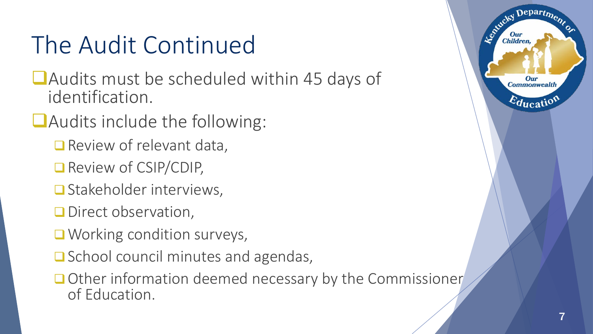## The Audit Continued

- ■Audits must be scheduled within 45 days of identification.
- **Audits include the following:** 
	- Review of relevant data,
	- Review of CSIP/CDIP,
	- **□** Stakeholder interviews,
	- **Direct observation,**
	- **Working condition surveys,**
	- $\Box$  School council minutes and agendas,
	- Other information deemed necessary by the Commissioner of Education.



 $Depart_{\mathcal{D}}$ 

Our **Commonwealth** 

 $E_{\text{ducati}}$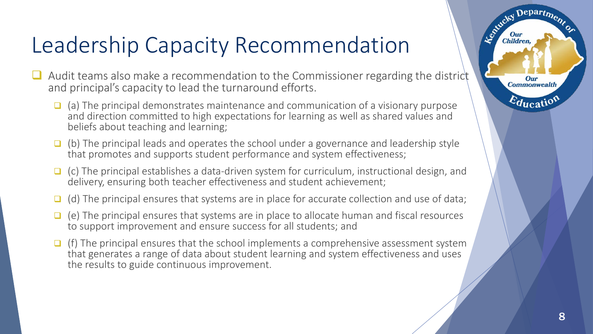#### Leadership Capacity Recommendation

- $\Box$  Audit teams also make a recommendation to the Commissioner regarding the district and principal's capacity to lead the turnaround efforts.
	- $\Box$  (a) The principal demonstrates maintenance and communication of a visionary purpose and direction committed to high expectations for learning as well as shared values and beliefs about teaching and learning;
	- $\Box$  (b) The principal leads and operates the school under a governance and leadership style that promotes and supports student performance and system effectiveness;
	- $\Box$  (c) The principal establishes a data-driven system for curriculum, instructional design, and delivery, ensuring both teacher effectiveness and student achievement;
	- $\Box$  (d) The principal ensures that systems are in place for accurate collection and use of data;
	- $\Box$  (e) The principal ensures that systems are in place to allocate human and fiscal resources to support improvement and ensure success for all students; and
	- $\Box$  (f) The principal ensures that the school implements a comprehensive assessment system that generates a range of data about student learning and system effectiveness and uses the results to guide continuous improvement.

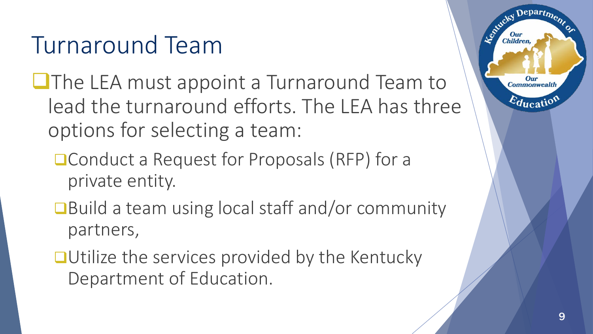## Turnaround Team

- **O**The LEA must appoint a Turnaround Team to lead the turnaround efforts. The LEA has three options for selecting a team:
	- Conduct a Request for Proposals (RFP) for a private entity.
	- ■Build a team using local staff and/or community partners,
	- ■Utilize the services provided by the Kentucky Department of Education.

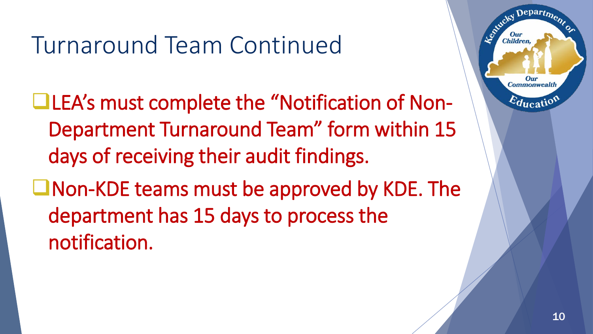## Turnaround Team Continued

- LEA's must complete the "Notification of Non-Department Turnaround Team" form within 15 days of receiving their audit findings.
- ■Non-KDE teams must be approved by KDE. The department has 15 days to process the notification.

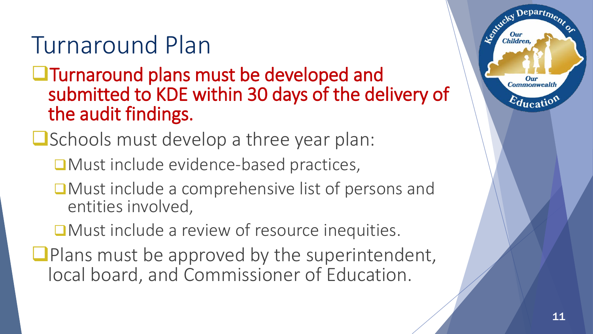## Turnaround Plan

- **Turnaround plans must be developed and** submitted to KDE within 30 days of the delivery of the audit findings.
- **O** Schools must develop a three year plan:
	- ■Must include evidence-based practices,
	- ■Must include a comprehensive list of persons and entities involved,
	- ■Must include a review of resource inequities.
- $\Box$  Plans must be approved by the superintendent, local board, and Commissioner of Education.

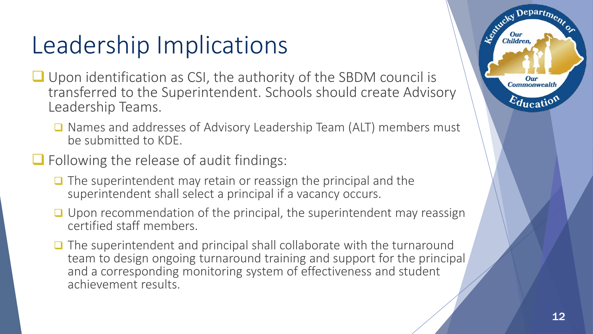## Leadership Implications

- Upon identification as CSI, the authority of the SBDM council is transferred to the Superintendent. Schools should create Advisory Leadership Teams.
	- Names and addresses of Advisory Leadership Team (ALT) members must be submitted to KDE.
- $\Box$  Following the release of audit findings:
	- $\Box$  The superintendent may retain or reassign the principal and the superintendent shall select a principal if a vacancy occurs.
	- $\Box$  Upon recommendation of the principal, the superintendent may reassign certified staff members.
	- $\Box$  The superintendent and principal shall collaborate with the turnaround team to design ongoing turnaround training and support for the principal and a corresponding monitoring system of effectiveness and student achievement results.

Depart<sub>me.</sub>

Our **Commonwealth** 

 $E_{\text{ducati}}$ 

Leokucky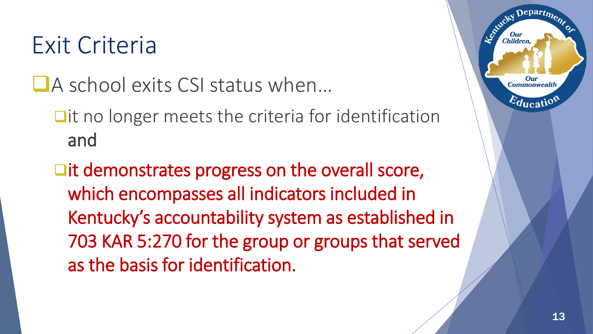#### Exit Criteria

■A school exits CSI status when…

 $\Box$  it no longer meets the criteria for identification and

 $\square$ it demonstrates progress on the overall score, which encompasses all indicators included in Kentucky's accountability system as established in 703 KAR 5:270 for the group or groups that served as the basis for identification.